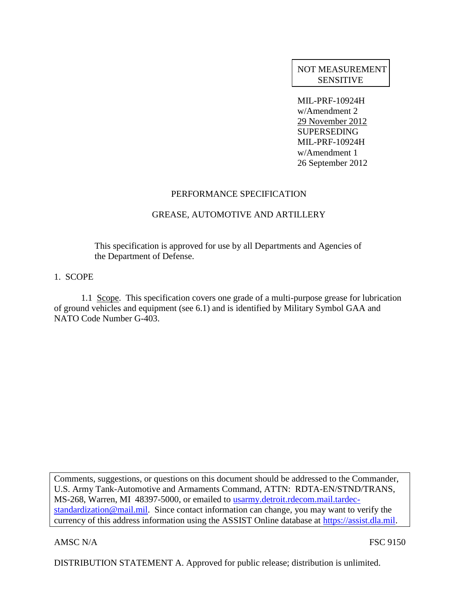# NOT MEASUREMENT SENSITIVE

MIL-PRF-10924H w/Amendment 2 29 November 2012 SUPERSEDING MIL-PRF-10924H w/Amendment 1 26 September 2012

## PERFORMANCE SPECIFICATION

## GREASE, AUTOMOTIVE AND ARTILLERY

This specification is approved for use by all Departments and Agencies of the Department of Defense.

#### 1. SCOPE

1.1 Scope. This specification covers one grade of a multi-purpose grease for lubrication of ground vehicles and equipment (see 6.1) and is identified by Military Symbol GAA and NATO Code Number G-403.

Comments, suggestions, or questions on this document should be addressed to the Commander, U.S. Army Tank-Automotive and Armaments Command, ATTN: RDTA-EN/STND/TRANS, MS-268, Warren, MI 48397-5000, or emailed to usarmy.detroit.rdecom.mail.tardecstandardization@mail.mil. Since contact information can change, you may want to verify the currency of this address information using the ASSIST Online database at https://assist.dla.mil.

AMSC N/A FSC 9150

DISTRIBUTION STATEMENT A. Approved for public release; distribution is unlimited.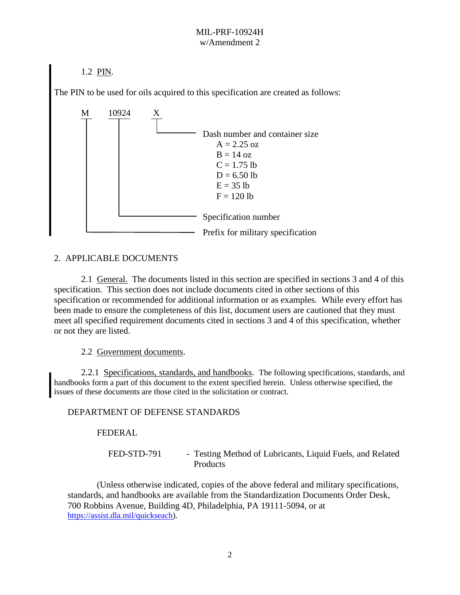1.2 PIN.

The PIN to be used for oils acquired to this specification are created as follows:



## 2. APPLICABLE DOCUMENTS

2.1 General. The documents listed in this section are specified in sections 3 and 4 of this specification. This section does not include documents cited in other sections of this specification or recommended for additional information or as examples. While every effort has been made to ensure the completeness of this list, document users are cautioned that they must meet all specified requirement documents cited in sections 3 and 4 of this specification, whether or not they are listed.

2.2 Government documents.

2.2.1 Specifications, standards, and handbooks. The following specifications, standards, and handbooks form a part of this document to the extent specified herein. Unless otherwise specified, the issues of these documents are those cited in the solicitation or contract.

## DEPARTMENT OF DEFENSE STANDARDS

FEDERAL

FED-STD-791 - Testing Method of Lubricants, Liquid Fuels, and Related Products

 (Unless otherwise indicated, copies of the above federal and military specifications, standards, and handbooks are available from the Standardization Documents Order Desk, 700 Robbins Avenue, Building 4D, Philadelphia, PA 19111-5094, or at [https://assist.dla.mil/quickseach\)](https://assist.dla.mil/quickseach).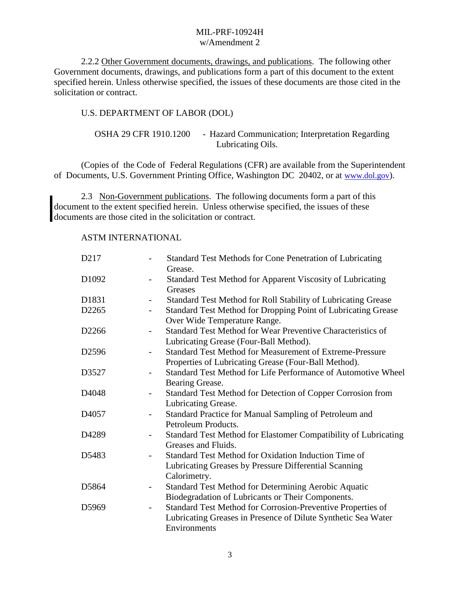2.2.2 Other Government documents, drawings, and publications. The following other Government documents, drawings, and publications form a part of this document to the extent specified herein. Unless otherwise specified, the issues of these documents are those cited in the solicitation or contract.

## U.S. DEPARTMENT OF LABOR (DOL)

OSHA 29 CFR 1910.1200 - Hazard Communication; Interpretation Regarding Lubricating Oils.

(Copies of the Code of Federal Regulations (CFR) are available from the Superintendent of Documents, U.S. Government Printing Office, Washington DC 20402, or at [www.dol.gov](http://www.dol.gov/)).

2.3 Non-Government publications. The following documents form a part of this document to the extent specified herein. Unless otherwise specified, the issues of these documents are those cited in the solicitation or contract.

#### ASTM INTERNATIONAL

| D217              | Standard Test Methods for Cone Penetration of Lubricating<br>$\overline{\phantom{0}}$<br>Grease.                                                                         |
|-------------------|--------------------------------------------------------------------------------------------------------------------------------------------------------------------------|
| D1092             | Standard Test Method for Apparent Viscosity of Lubricating<br>Greases                                                                                                    |
| D1831             | Standard Test Method for Roll Stability of Lubricating Grease<br>$\overline{\phantom{a}}$                                                                                |
| D2265             | Standard Test Method for Dropping Point of Lubricating Grease<br>$\overline{\phantom{a}}$<br>Over Wide Temperature Range.                                                |
| D2266             | Standard Test Method for Wear Preventive Characteristics of<br>Lubricating Grease (Four-Ball Method).                                                                    |
| D2596             | <b>Standard Test Method for Measurement of Extreme-Pressure</b><br>$\overline{\phantom{a}}$<br>Properties of Lubricating Grease (Four-Ball Method).                      |
| D3527             | Standard Test Method for Life Performance of Automotive Wheel<br>Bearing Grease.                                                                                         |
| D <sub>4048</sub> | Standard Test Method for Detection of Copper Corrosion from<br>$\overline{\phantom{a}}$<br>Lubricating Grease.                                                           |
| D <sub>4057</sub> | Standard Practice for Manual Sampling of Petroleum and<br>Petroleum Products.                                                                                            |
| D4289             | Standard Test Method for Elastomer Compatibility of Lubricating<br>Greases and Fluids.                                                                                   |
| D5483             | Standard Test Method for Oxidation Induction Time of<br>$\overline{\phantom{a}}$<br>Lubricating Greases by Pressure Differential Scanning<br>Calorimetry.                |
| D5864             | <b>Standard Test Method for Determining Aerobic Aquatic</b><br>Biodegradation of Lubricants or Their Components.                                                         |
| D5969             | Standard Test Method for Corrosion-Preventive Properties of<br>$\overline{\phantom{a}}$<br>Lubricating Greases in Presence of Dilute Synthetic Sea Water<br>Environments |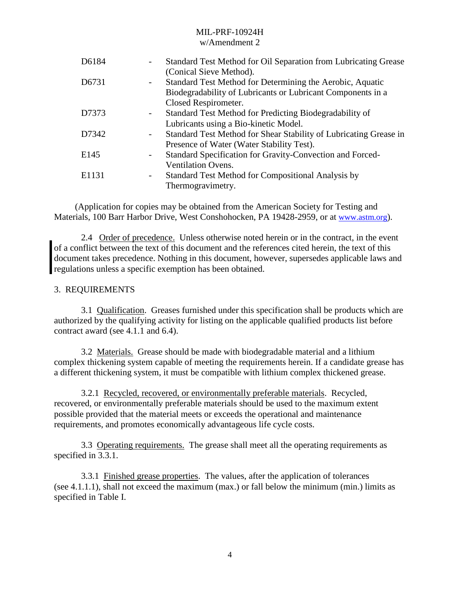## MIL-PRF-10924H

## w/Amendment 2

| D6184 |   | Standard Test Method for Oil Separation from Lubricating Grease<br>(Conical Sieve Method).                                                       |
|-------|---|--------------------------------------------------------------------------------------------------------------------------------------------------|
| D6731 |   | Standard Test Method for Determining the Aerobic, Aquatic<br>Biodegradability of Lubricants or Lubricant Components in a<br>Closed Respirometer. |
| D7373 |   | Standard Test Method for Predicting Biodegradability of<br>Lubricants using a Bio-kinetic Model.                                                 |
| D7342 |   | Standard Test Method for Shear Stability of Lubricating Grease in<br>Presence of Water (Water Stability Test).                                   |
| E145  |   | Standard Specification for Gravity-Convection and Forced-<br><b>Ventilation Ovens.</b>                                                           |
| E1131 | - | Standard Test Method for Compositional Analysis by<br>Thermogravimetry.                                                                          |

(Application for copies may be obtained from the American Society for Testing and Materials, 100 Barr Harbor Drive, West Conshohocken, PA 19428-2959, or at [www.astm.org](http://www.astm.org/)).

2.4 Order of precedence. Unless otherwise noted herein or in the contract, in the event of a conflict between the text of this document and the references cited herein, the text of this document takes precedence. Nothing in this document, however, supersedes applicable laws and regulations unless a specific exemption has been obtained.

#### 3. REQUIREMENTS

3.1 Qualification. Greases furnished under this specification shall be products which are authorized by the qualifying activity for listing on the applicable qualified products list before contract award (see 4.1.1 and 6.4).

3.2 Materials. Grease should be made with biodegradable material and a lithium complex thickening system capable of meeting the requirements herein. If a candidate grease has a different thickening system, it must be compatible with lithium complex thickened grease.

3.2.1 Recycled, recovered, or environmentally preferable materials. Recycled, recovered, or environmentally preferable materials should be used to the maximum extent possible provided that the material meets or exceeds the operational and maintenance requirements, and promotes economically advantageous life cycle costs.

3.3 Operating requirements. The grease shall meet all the operating requirements as specified in 3.3.1.

3.3.1 Finished grease properties. The values, after the application of tolerances (see 4.1.1.1), shall not exceed the maximum (max.) or fall below the minimum (min.) limits as specified in Table I.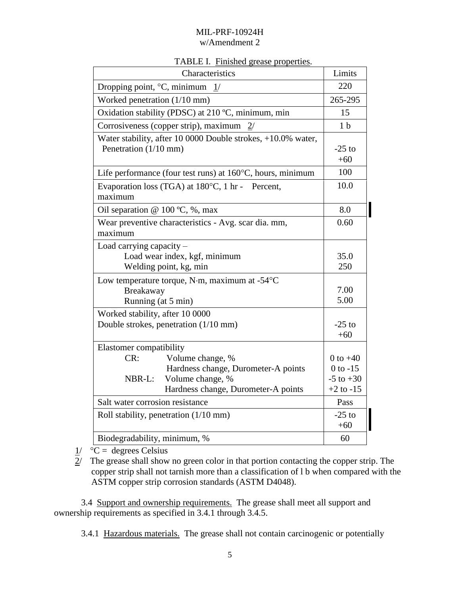| TABLE I. Finished grease properties. |  |  |
|--------------------------------------|--|--|
|                                      |  |  |

| Characteristics                                                                                                                                                | Limits                                                       |
|----------------------------------------------------------------------------------------------------------------------------------------------------------------|--------------------------------------------------------------|
| Dropping point, $\degree$ C, minimum $1/$                                                                                                                      | 220                                                          |
| Worked penetration (1/10 mm)                                                                                                                                   | 265-295                                                      |
| Oxidation stability (PDSC) at 210 °C, minimum, min                                                                                                             | 15                                                           |
| Corrosiveness (copper strip), maximum<br>2/                                                                                                                    | 1 <sub>b</sub>                                               |
| Water stability, after 10 0000 Double strokes, +10.0% water,<br>Penetration (1/10 mm)                                                                          | $-25$ to<br>$+60$                                            |
| Life performance (four test runs) at $160^{\circ}$ C, hours, minimum                                                                                           | 100                                                          |
| Evaporation loss (TGA) at 180°C, 1 hr - Percent,<br>maximum                                                                                                    | 10.0                                                         |
| Oil separation @ $100 \degree C$ , %, max                                                                                                                      | 8.0                                                          |
| Wear preventive characteristics - Avg. scar dia. mm,<br>maximum                                                                                                | 0.60                                                         |
| Load carrying capacity -<br>Load wear index, kgf, minimum<br>Welding point, kg, min                                                                            | 35.0<br>250                                                  |
| Low temperature torque, N·m, maximum at -54°C<br>Breakaway<br>Running (at 5 min)                                                                               | 7.00<br>5.00                                                 |
| Worked stability, after 10 0000<br>Double strokes, penetration (1/10 mm)                                                                                       | $-25$ to<br>$+60$                                            |
| Elastomer compatibility<br>CR:<br>Volume change, %<br>Hardness change, Durometer-A points<br>Volume change, %<br>NBR-L:<br>Hardness change, Durometer-A points | 0 to $+40$<br>$0$ to $-15$<br>$-5$ to $+30$<br>$+2$ to $-15$ |
| Salt water corrosion resistance                                                                                                                                | Pass                                                         |
| Roll stability, penetration (1/10 mm)                                                                                                                          | $-25$ to<br>$+60$                                            |
| Biodegradability, minimum, %                                                                                                                                   | 60                                                           |

 $1/$  °C = degrees Celsius

 $2^{\prime}$  The grease shall show no green color in that portion contacting the copper strip. The copper strip shall not tarnish more than a classification of l b when compared with the ASTM copper strip corrosion standards (ASTM D4048).

3.4 Support and ownership requirements. The grease shall meet all support and ownership requirements as specified in 3.4.1 through 3.4.5.

3.4.1 Hazardous materials. The grease shall not contain carcinogenic or potentially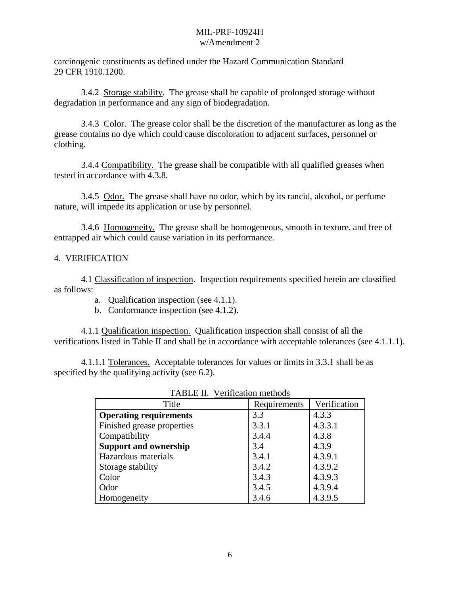carcinogenic constituents as defined under the Hazard Communication Standard 29 CFR 1910.1200.

3.4.2 Storage stability. The grease shall be capable of prolonged storage without degradation in performance and any sign of biodegradation.

3.4.3 Color. The grease color shall be the discretion of the manufacturer as long as the grease contains no dye which could cause discoloration to adjacent surfaces, personnel or clothing.

3.4.4 Compatibility. The grease shall be compatible with all qualified greases when tested in accordance with 4.3.8.

3.4.5 Odor. The grease shall have no odor, which by its rancid, alcohol, or perfume nature, will impede its application or use by personnel.

3.4.6 Homogeneity. The grease shall be homogeneous, smooth in texture, and free of entrapped air which could cause variation in its performance.

#### 4. VERIFICATION

4.1 Classification of inspection. Inspection requirements specified herein are classified as follows:

- a. Qualification inspection (see 4.1.1).
- b. Conformance inspection (see 4.1.2).

4.1.1 Qualification inspection. Qualification inspection shall consist of all the verifications listed in Table II and shall be in accordance with acceptable tolerances (see 4.1.1.1).

4.1.1.1 Tolerances. Acceptable tolerances for values or limits in 3.3.1 shall be as specified by the qualifying activity (see 6.2).

| Title                         | Requirements | Verification |
|-------------------------------|--------------|--------------|
| <b>Operating requirements</b> | 3.3          | 4.3.3        |
| Finished grease properties    | 3.3.1        | 4.3.3.1      |
| Compatibility                 | 3.4.4        | 4.3.8        |
| <b>Support and ownership</b>  | 3.4          | 4.3.9        |
| Hazardous materials           | 3.4.1        | 4.3.9.1      |
| Storage stability             | 3.4.2        | 4.3.9.2      |
| Color                         | 3.4.3        | 4.3.9.3      |
| Odor                          | 3.4.5        | 4.3.9.4      |
| Homogeneity                   | 3.4.6        | 4.3.9.5      |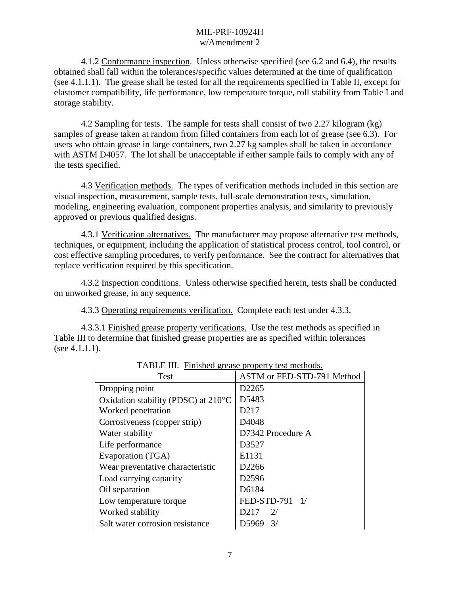4.1.2 Conformance inspection. Unless otherwise specified (see 6.2 and 6.4), the results obtained shall fall within the tolerances/specific values determined at the time of qualification (see 4.1.1.1). The grease shall be tested for all the requirements specified in Table II, except for elastomer compatibility, life performance, low temperature torque, roll stability from Table I and storage stability.

4.2 Sampling for tests. The sample for tests shall consist of two 2.27 kilogram (kg) samples of grease taken at random from filled containers from each lot of grease (see 6.3). For users who obtain grease in large containers, two 2.27 kg samples shall be taken in accordance with ASTM D4057. The lot shall be unacceptable if either sample fails to comply with any of the tests specified.

4.3 Verification methods. The types of verification methods included in this section are visual inspection, measurement, sample tests, full-scale demonstration tests, simulation, modeling, engineering evaluation, component properties analysis, and similarity to previously approved or previous qualified designs.

4.3.1 Verification alternatives. The manufacturer may propose alternative test methods, techniques, or equipment, including the application of statistical process control, tool control, or cost effective sampling procedures, to verify performance. See the contract for alternatives that replace verification required by this specification.

4.3.2 Inspection conditions. Unless otherwise specified herein, tests shall be conducted on unworked grease, in any sequence.

4.3.3 Operating requirements verification. Complete each test under 4.3.3.

4.3.3.1 Finished grease property verifications. Use the test methods as specified in Table III to determine that finished grease properties are as specified within tolerances (see 4.1.1.1).

| Test                                | ASTM or FED-STD-791 Method |  |
|-------------------------------------|----------------------------|--|
| Dropping point                      | D <sub>2265</sub>          |  |
| Oxidation stability (PDSC) at 210°C | D5483                      |  |
| Worked penetration                  | D <sub>2</sub> 17          |  |
| Corrosiveness (copper strip)        | D <sub>4048</sub>          |  |
| Water stability                     | D7342 Procedure A          |  |
| Life performance                    | D3527                      |  |
| Evaporation (TGA)                   | E1131                      |  |
| Wear preventative characteristic    | D2266                      |  |
| Load carrying capacity              | D <sub>2596</sub>          |  |
| Oil separation                      | D6184                      |  |
| Low temperature torque              | FED-STD-791 1/             |  |
| Worked stability                    | D <sub>217</sub><br>2/     |  |
| Salt water corrosion resistance     | D5969<br>$\frac{3}{2}$     |  |
|                                     |                            |  |

TABLE III. Finished grease property test methods.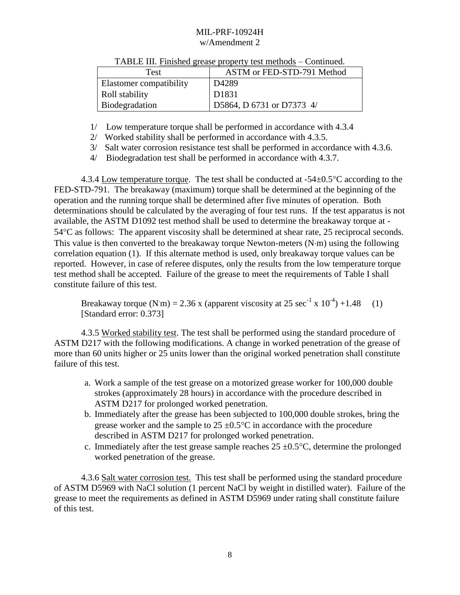| Test                    | ASTM or FED-STD-791 Method |  |
|-------------------------|----------------------------|--|
| Elastomer compatibility | D <sub>4289</sub>          |  |
| Roll stability          | D1831                      |  |
| <b>Biodegradation</b>   | D5864, D 6731 or D7373 4/  |  |

#### TABLE III. Finished grease property test methods – Continued.

- 1/ Low temperature torque shall be performed in accordance with 4.3.4
- 2/ Worked stability shall be performed in accordance with 4.3.5.
- 3/ Salt water corrosion resistance test shall be performed in accordance with 4.3.6.
- 4/ Biodegradation test shall be performed in accordance with 4.3.7.

4.3.4 Low temperature torque. The test shall be conducted at  $-54\pm0.5^{\circ}$ C according to the FED-STD-791. The breakaway (maximum) torque shall be determined at the beginning of the operation and the running torque shall be determined after five minutes of operation. Both determinations should be calculated by the averaging of four test runs. If the test apparatus is not available, the ASTM D1092 test method shall be used to determine the breakaway torque at - 54C as follows: The apparent viscosity shall be determined at shear rate, 25 reciprocal seconds. This value is then converted to the breakaway torque Newton-meters  $(N \cdot m)$  using the following correlation equation (1). If this alternate method is used, only breakaway torque values can be reported. However, in case of referee disputes, only the results from the low temperature torque test method shall be accepted. Failure of the grease to meet the requirements of Table I shall constitute failure of this test.

Breakaway torque (N·m) = 2.36 x (apparent viscosity at 25 sec<sup>-1</sup> x 10<sup>-4</sup>) +1.48 (1) [Standard error: 0.373]

4.3.5 Worked stability test. The test shall be performed using the standard procedure of ASTM D217 with the following modifications. A change in worked penetration of the grease of more than 60 units higher or 25 units lower than the original worked penetration shall constitute failure of this test.

- a. Work a sample of the test grease on a motorized grease worker for 100,000 double strokes (approximately 28 hours) in accordance with the procedure described in ASTM D217 for prolonged worked penetration.
- b. Immediately after the grease has been subjected to 100,000 double strokes, bring the grease worker and the sample to  $25 \pm 0.5^{\circ}$ C in accordance with the procedure described in ASTM D217 for prolonged worked penetration.
- c. Immediately after the test grease sample reaches  $25 \pm 0.5^{\circ}$ C, determine the prolonged worked penetration of the grease.

4.3.6 Salt water corrosion test. This test shall be performed using the standard procedure of ASTM D5969 with NaCl solution (1 percent NaCl by weight in distilled water). Failure of the grease to meet the requirements as defined in ASTM D5969 under rating shall constitute failure of this test.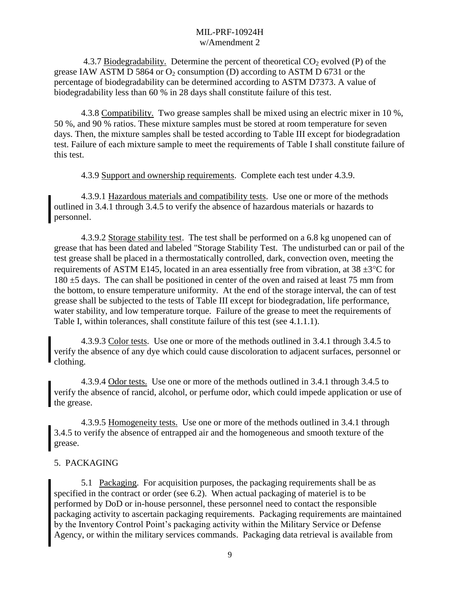4.3.7 Biodegradability. Determine the percent of theoretical  $CO_2$  evolved (P) of the grease IAW ASTM D 5864 or  $O_2$  consumption (D) according to ASTM D 6731 or the percentage of biodegradability can be determined according to ASTM D7373. A value of biodegradability less than 60 % in 28 days shall constitute failure of this test.

4.3.8 Compatibility. Two grease samples shall be mixed using an electric mixer in 10 %, 50 %, and 90 % ratios. These mixture samples must be stored at room temperature for seven days. Then, the mixture samples shall be tested according to Table III except for biodegradation test. Failure of each mixture sample to meet the requirements of Table I shall constitute failure of this test.

4.3.9 Support and ownership requirements. Complete each test under 4.3.9.

4.3.9.1 Hazardous materials and compatibility tests. Use one or more of the methods outlined in 3.4.1 through 3.4.5 to verify the absence of hazardous materials or hazards to personnel.

4.3.9.2 Storage stability test. The test shall be performed on a 6.8 kg unopened can of grease that has been dated and labeled "Storage Stability Test. The undisturbed can or pail of the test grease shall be placed in a thermostatically controlled, dark, convection oven, meeting the requirements of ASTM E145, located in an area essentially free from vibration, at  $38 \pm 3^{\circ}$ C for 180 ±5 days. The can shall be positioned in center of the oven and raised at least 75 mm from the bottom, to ensure temperature uniformity. At the end of the storage interval, the can of test grease shall be subjected to the tests of Table III except for biodegradation, life performance, water stability, and low temperature torque. Failure of the grease to meet the requirements of Table I, within tolerances, shall constitute failure of this test (see 4.1.1.1).

4.3.9.3 Color tests. Use one or more of the methods outlined in 3.4.1 through 3.4.5 to verify the absence of any dye which could cause discoloration to adjacent surfaces, personnel or clothing.

4.3.9.4 Odor tests. Use one or more of the methods outlined in 3.4.1 through 3.4.5 to verify the absence of rancid, alcohol, or perfume odor, which could impede application or use of the grease.

4.3.9.5 Homogeneity tests. Use one or more of the methods outlined in 3.4.1 through 3.4.5 to verify the absence of entrapped air and the homogeneous and smooth texture of the grease.

## 5. PACKAGING

5.1 Packaging. For acquisition purposes, the packaging requirements shall be as specified in the contract or order (see 6.2). When actual packaging of materiel is to be performed by DoD or in-house personnel, these personnel need to contact the responsible packaging activity to ascertain packaging requirements. Packaging requirements are maintained by the Inventory Control Point's packaging activity within the Military Service or Defense Agency, or within the military services commands. Packaging data retrieval is available from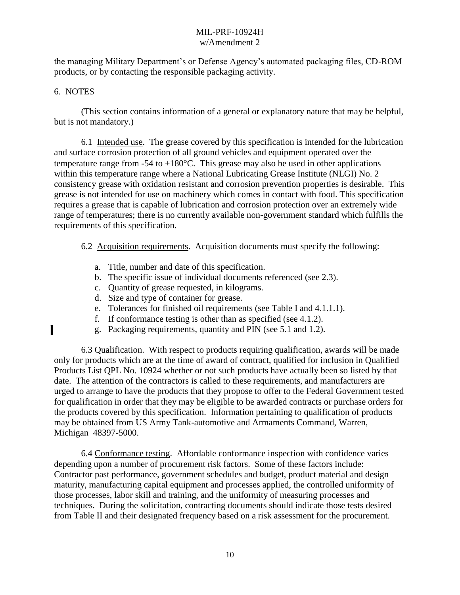the managing Military Department's or Defense Agency's automated packaging files, CD-ROM products, or by contacting the responsible packaging activity.

## 6. NOTES

(This section contains information of a general or explanatory nature that may be helpful, but is not mandatory.)

6.1 Intended use. The grease covered by this specification is intended for the lubrication and surface corrosion protection of all ground vehicles and equipment operated over the temperature range from -54 to  $+180^{\circ}$ C. This grease may also be used in other applications within this temperature range where a National Lubricating Grease Institute (NLGI) No. 2 consistency grease with oxidation resistant and corrosion prevention properties is desirable. This grease is not intended for use on machinery which comes in contact with food. This specification requires a grease that is capable of lubrication and corrosion protection over an extremely wide range of temperatures; there is no currently available non-government standard which fulfills the requirements of this specification.

6.2 Acquisition requirements. Acquisition documents must specify the following:

- a. Title, number and date of this specification.
- b. The specific issue of individual documents referenced (see 2.3).
- c. Quantity of grease requested, in kilograms.
- d. Size and type of container for grease.
- e. Tolerances for finished oil requirements (see Table I and 4.1.1.1).
- f. If conformance testing is other than as specified (see 4.1.2).
- g. Packaging requirements, quantity and PIN (see 5.1 and 1.2).

6.3 Qualification. With respect to products requiring qualification, awards will be made only for products which are at the time of award of contract, qualified for inclusion in Qualified Products List QPL No. 10924 whether or not such products have actually been so listed by that date. The attention of the contractors is called to these requirements, and manufacturers are urged to arrange to have the products that they propose to offer to the Federal Government tested for qualification in order that they may be eligible to be awarded contracts or purchase orders for the products covered by this specification. Information pertaining to qualification of products may be obtained from US Army Tank-automotive and Armaments Command, Warren, Michigan 48397-5000.

6.4 Conformance testing. Affordable conformance inspection with confidence varies depending upon a number of procurement risk factors. Some of these factors include: Contractor past performance, government schedules and budget, product material and design maturity, manufacturing capital equipment and processes applied, the controlled uniformity of those processes, labor skill and training, and the uniformity of measuring processes and techniques. During the solicitation, contracting documents should indicate those tests desired from Table II and their designated frequency based on a risk assessment for the procurement.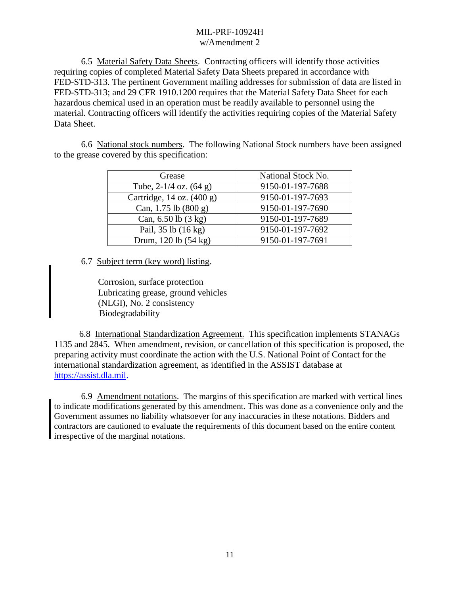6.5 Material Safety Data Sheets. Contracting officers will identify those activities requiring copies of completed Material Safety Data Sheets prepared in accordance with FED-STD-313. The pertinent Government mailing addresses for submission of data are listed in FED-STD-313; and 29 CFR 1910.1200 requires that the Material Safety Data Sheet for each hazardous chemical used in an operation must be readily available to personnel using the material. Contracting officers will identify the activities requiring copies of the Material Safety Data Sheet.

6.6 National stock numbers. The following National Stock numbers have been assigned to the grease covered by this specification:

| Grease                     | <b>National Stock No.</b> |
|----------------------------|---------------------------|
| Tube, $2-1/4$ oz. $(64 g)$ | 9150-01-197-7688          |
| Cartridge, 14 oz. (400 g)  | 9150-01-197-7693          |
| Can, $1.75$ lb $(800 g)$   | 9150-01-197-7690          |
| Can, 6.50 lb (3 kg)        | 9150-01-197-7689          |
| Pail, 35 lb (16 kg)        | 9150-01-197-7692          |
| Drum, 120 lb (54 kg)       | 9150-01-197-7691          |

6.7 Subject term (key word) listing.

Corrosion, surface protection Lubricating grease, ground vehicles (NLGI), No. 2 consistency Biodegradability

6.8 International Standardization Agreement. This specification implements STANAGs 1135 and 2845. When amendment, revision, or cancellation of this specification is proposed, the preparing activity must coordinate the action with the U.S. National Point of Contact for the international standardization agreement, as identified in the ASSIST database at [https://assist.dla.mil.](https://assist.dla.mil/)

6.9 Amendment notations. The margins of this specification are marked with vertical lines to indicate modifications generated by this amendment. This was done as a convenience only and the Government assumes no liability whatsoever for any inaccuracies in these notations. Bidders and contractors are cautioned to evaluate the requirements of this document based on the entire content irrespective of the marginal notations.